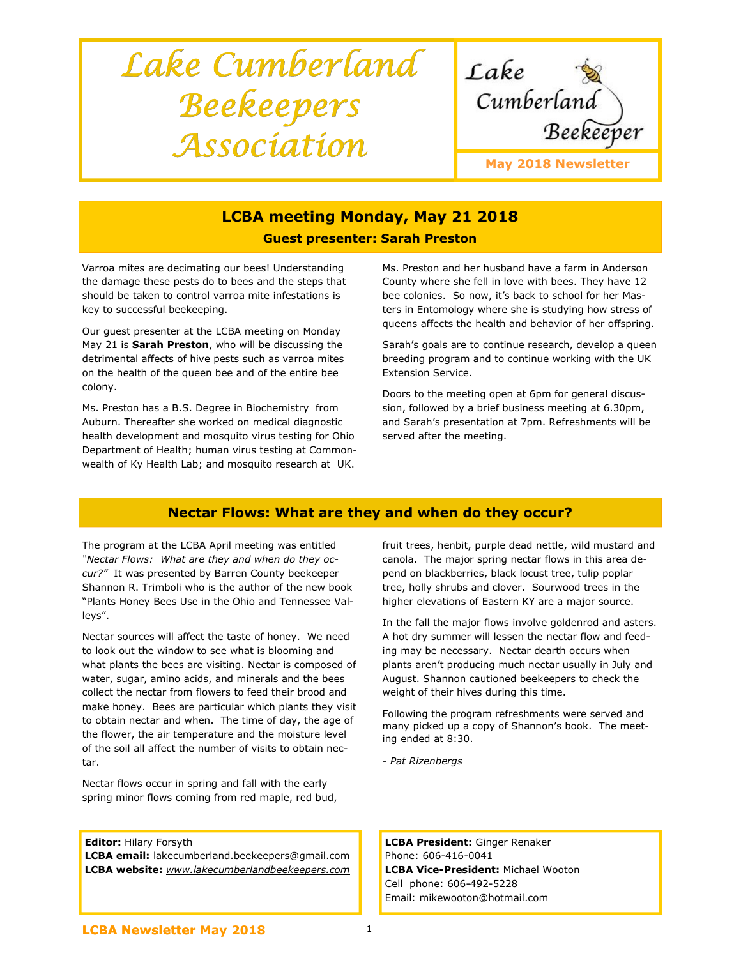# Lake Cumberland Beekeepers Association



# LCBA meeting Monday, May 21 2018 Guest presenter: Sarah Preston

Varroa mites are decimating our bees! Understanding the damage these pests do to bees and the steps that should be taken to control varroa mite infestations is key to successful beekeeping.

Our guest presenter at the LCBA meeting on Monday May 21 is Sarah Preston, who will be discussing the detrimental affects of hive pests such as varroa mites on the health of the queen bee and of the entire bee colony.

Ms. Preston has a B.S. Degree in Biochemistry from Auburn. Thereafter she worked on medical diagnostic health development and mosquito virus testing for Ohio Department of Health; human virus testing at Commonwealth of Ky Health Lab; and mosquito research at UK.

Ms. Preston and her husband have a farm in Anderson County where she fell in love with bees. They have 12 bee colonies. So now, it's back to school for her Masters in Entomology where she is studying how stress of queens affects the health and behavior of her offspring.

Sarah's goals are to continue research, develop a queen breeding program and to continue working with the UK Extension Service.

Doors to the meeting open at 6pm for general discussion, followed by a brief business meeting at 6.30pm, and Sarah's presentation at 7pm. Refreshments will be served after the meeting.

# Nectar Flows: What are they and when do they occur?

The program at the LCBA April meeting was entitled "Nectar Flows: What are they and when do they occur?" It was presented by Barren County beekeeper Shannon R. Trimboli who is the author of the new book "Plants Honey Bees Use in the Ohio and Tennessee Valleys".

Nectar sources will affect the taste of honey. We need to look out the window to see what is blooming and what plants the bees are visiting. Nectar is composed of water, sugar, amino acids, and minerals and the bees collect the nectar from flowers to feed their brood and make honey. Bees are particular which plants they visit to obtain nectar and when. The time of day, the age of the flower, the air temperature and the moisture level of the soil all affect the number of visits to obtain nectar.

Nectar flows occur in spring and fall with the early spring minor flows coming from red maple, red bud,

Editor: Hilary Forsyth

LCBA email: lakecumberland.beekeepers@gmail.com LCBA website: www.lakecumberlandbeekeepers.com fruit trees, henbit, purple dead nettle, wild mustard and canola. The major spring nectar flows in this area depend on blackberries, black locust tree, tulip poplar tree, holly shrubs and clover. Sourwood trees in the higher elevations of Eastern KY are a major source.

In the fall the major flows involve goldenrod and asters. A hot dry summer will lessen the nectar flow and feeding may be necessary. Nectar dearth occurs when plants aren't producing much nectar usually in July and August. Shannon cautioned beekeepers to check the weight of their hives during this time.

Following the program refreshments were served and many picked up a copy of Shannon's book. The meeting ended at 8:30.

- Pat Rizenbergs

LCBA President: Ginger Renaker Phone: 606-416-0041 LCBA Vice-President: Michael Wooton Cell phone: 606-492-5228 Email: mikewooton@hotmail.com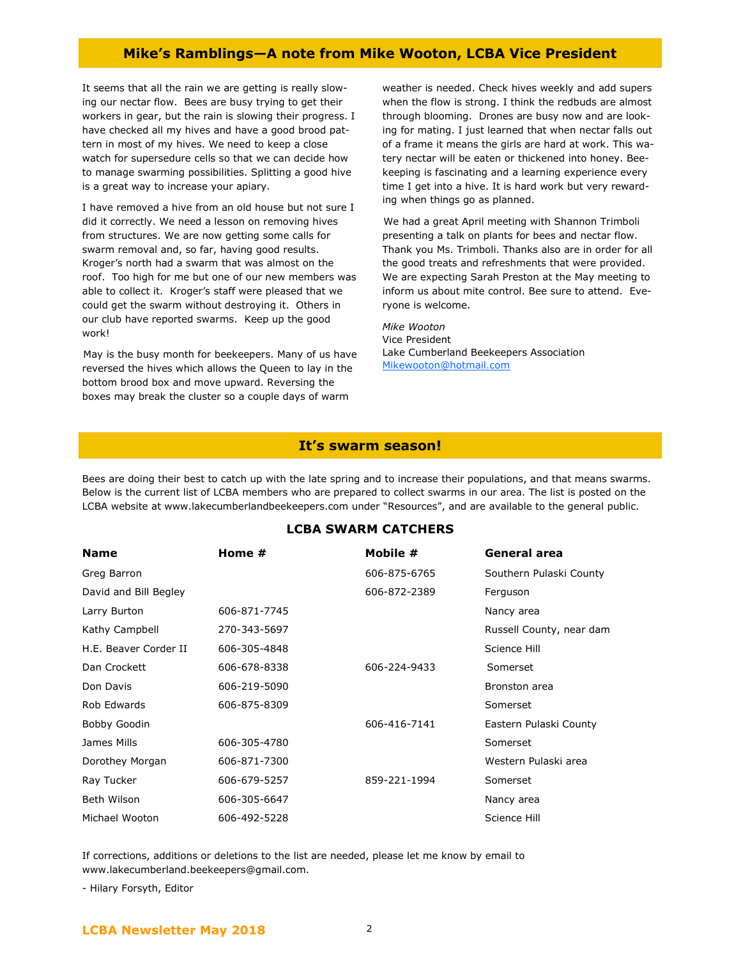## Mike's Ramblings—A note from Mike Wooton, LCBA Vice President

It seems that all the rain we are getting is really slowing our nectar flow. Bees are busy trying to get their workers in gear, but the rain is slowing their progress. I have checked all my hives and have a good brood pattern in most of my hives. We need to keep a close watch for supersedure cells so that we can decide how to manage swarming possibilities. Splitting a good hive is a great way to increase your apiary.

I have removed a hive from an old house but not sure I did it correctly. We need a lesson on removing hives from structures. We are now getting some calls for swarm removal and, so far, having good results. Kroger's north had a swarm that was almost on the roof. Too high for me but one of our new members was able to collect it. Kroger's staff were pleased that we could get the swarm without destroying it. Others in our club have reported swarms. Keep up the good work!

 May is the busy month for beekeepers. Many of us have reversed the hives which allows the Queen to lay in the bottom brood box and move upward. Reversing the boxes may break the cluster so a couple days of warm

weather is needed. Check hives weekly and add supers when the flow is strong. I think the redbuds are almost through blooming. Drones are busy now and are looking for mating. I just learned that when nectar falls out of a frame it means the girls are hard at work. This watery nectar will be eaten or thickened into honey. Beekeeping is fascinating and a learning experience every time I get into a hive. It is hard work but very rewarding when things go as planned.

 We had a great April meeting with Shannon Trimboli presenting a talk on plants for bees and nectar flow. Thank you Ms. Trimboli. Thanks also are in order for all the good treats and refreshments that were provided. We are expecting Sarah Preston at the May meeting to inform us about mite control. Bee sure to attend. Everyone is welcome.

Mike Wooton Vice President Lake Cumberland Beekeepers Association Mikewooton@hotmail.com

#### It's swarm season!

Bees are doing their best to catch up with the late spring and to increase their populations, and that means swarms. Below is the current list of LCBA members who are prepared to collect swarms in our area. The list is posted on the LCBA website at www.lakecumberlandbeekeepers.com under "Resources", and are available to the general public.

#### LCBA SWARM CATCHERS

| <b>Name</b>           | Home #       | Mobile #     | General area             |
|-----------------------|--------------|--------------|--------------------------|
| Greg Barron           |              | 606-875-6765 | Southern Pulaski County  |
| David and Bill Begley |              | 606-872-2389 | Ferguson                 |
| Larry Burton          | 606-871-7745 |              | Nancy area               |
| Kathy Campbell        | 270-343-5697 |              | Russell County, near dam |
| H.E. Beaver Corder II | 606-305-4848 |              | Science Hill             |
| Dan Crockett          | 606-678-8338 | 606-224-9433 | Somerset                 |
| Don Davis             | 606-219-5090 |              | Bronston area            |
| Rob Edwards           | 606-875-8309 |              | Somerset                 |
| Bobby Goodin          |              | 606-416-7141 | Eastern Pulaski County   |
| James Mills           | 606-305-4780 |              | Somerset                 |
| Dorothey Morgan       | 606-871-7300 |              | Western Pulaski area     |
| Ray Tucker            | 606-679-5257 | 859-221-1994 | Somerset                 |
| Beth Wilson           | 606-305-6647 |              | Nancy area               |
| Michael Wooton        | 606-492-5228 |              | Science Hill             |

If corrections, additions or deletions to the list are needed, please let me know by email to www.lakecumberland.beekeepers@gmail.com.

- Hilary Forsyth, Editor

# LCBA Newsletter May 2018